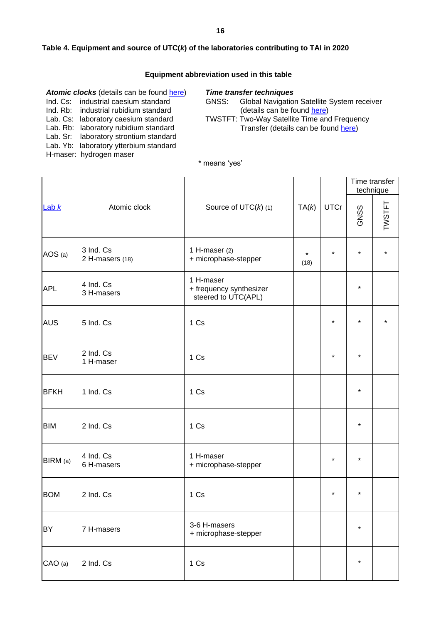#### **16**

### **Table 4. Equipment and source of UTC(***k***) of the laboratories contributing to TAI in 2020**

### **Equipment abbreviation used in this table**

| Atomic clocks (details can be found here) |                                        |  |  |  |  |  |  |
|-------------------------------------------|----------------------------------------|--|--|--|--|--|--|
|                                           | Ind. Cs: industrial caesium standard   |  |  |  |  |  |  |
|                                           | Ind. Rb: industrial rubidium standard  |  |  |  |  |  |  |
|                                           | Lab. Cs: laboratory caesium standard   |  |  |  |  |  |  |
|                                           | Lab. Rb: laboratory rubidium standard  |  |  |  |  |  |  |
|                                           | Lab. Sr: laboratory strontium standard |  |  |  |  |  |  |
|                                           | Lab. Yb: laboratory ytterbium standard |  |  |  |  |  |  |
|                                           | H-maser: hydrogen maser                |  |  |  |  |  |  |
|                                           |                                        |  |  |  |  |  |  |

### *Time transfer techniques*

GNSS: Global Navigation Satellite System receiver (details can be found [here\)](https://webtai.bipm.org/database/gnss.html) TWSTFT: Two-Way Satellite Time and Frequency

Transfer (details can be found [here\)](https://webtai.bipm.org/database/tw.html)

### \* means 'yes'

|                                                                                                      |                              |                                         | TA(k)           | <b>UTCr</b> | Time transfer<br>technique |        |
|------------------------------------------------------------------------------------------------------|------------------------------|-----------------------------------------|-----------------|-------------|----------------------------|--------|
| Lab $k$                                                                                              | Atomic clock                 | Source of $UTC(k)$ (1)                  |                 |             | GNSS                       | TWSTFT |
| AOS (a)                                                                                              | 3 Ind. Cs<br>2 H-masers (18) | 1 H-maser $(2)$<br>+ microphase-stepper | $\star$<br>(18) | $\star$     | $\star$                    |        |
| 1 H-maser<br>4 Ind. Cs<br><b>APL</b><br>+ frequency synthesizer<br>3 H-masers<br>steered to UTC(APL) |                              |                                         |                 | $\star$     |                            |        |
| <b>AUS</b>                                                                                           | 5 Ind. Cs                    | 1 Cs                                    |                 | $\star$     | $\star$                    |        |
| <b>BEV</b>                                                                                           | 2 Ind. Cs<br>1 H-maser       | 1 Cs                                    |                 | $\star$     | $\star$                    |        |
| <b>BFKH</b>                                                                                          | 1 Ind. Cs                    | 1 Cs                                    |                 |             | $\star$                    |        |
| <b>BIM</b>                                                                                           | 2 Ind. Cs                    | 1 Cs                                    |                 |             | $^\star$                   |        |
| BIRM (a)                                                                                             | 4 Ind. Cs<br>6 H-masers      | 1 H-maser<br>+ microphase-stepper       |                 | $\star$     | $^\star$                   |        |
| <b>BOM</b>                                                                                           | 2 Ind. Cs                    | 1 Cs                                    |                 | $\star$     | $\star$                    |        |
| BY                                                                                                   | 7 H-masers                   | 3-6 H-masers<br>+ microphase-stepper    |                 |             | $\star$                    |        |
| CAO (a)                                                                                              | 2 Ind. Cs                    | 1 Cs                                    |                 |             | $\star$                    |        |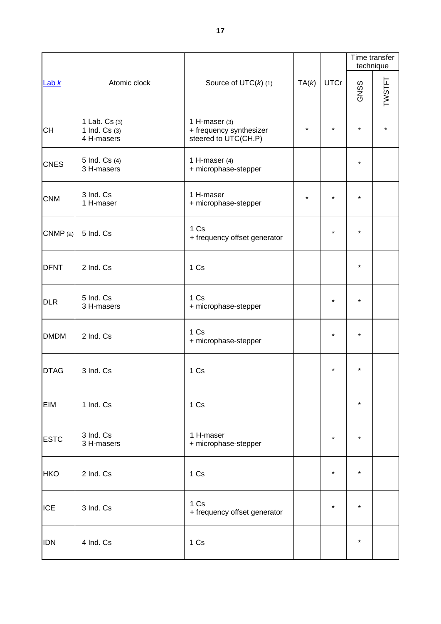|             |                                                             |                                                                    |         | <b>UTCr</b> | Time transfer<br>technique |        |
|-------------|-------------------------------------------------------------|--------------------------------------------------------------------|---------|-------------|----------------------------|--------|
| Lab $k$     | Atomic clock                                                | Source of $UTC(k)$ (1)                                             | TA(k)   |             | GNSS                       | TWSTFT |
| <b>CH</b>   | 1 Lab. Cs (3)<br>1 Ind. Cs (3)<br>4 H-masers                | 1 H-maser $(3)$<br>+ frequency synthesizer<br>steered to UTC(CH.P) | $\star$ | $\star$     | $\star$                    |        |
| <b>CNES</b> | 5 Ind. Cs (4)<br>3 H-masers                                 | 1 H-maser $(4)$<br>+ microphase-stepper                            |         |             | $\star$                    |        |
| <b>CNM</b>  | 3 Ind. Cs<br>1 H-maser<br>1 H-maser<br>+ microphase-stepper |                                                                    | $\star$ | $\star$     | $\star$                    |        |
| CNMP (a)    | 5 Ind. Cs                                                   | 1 Cs<br>+ frequency offset generator                               |         | $\star$     | $\star$                    |        |
| <b>DFNT</b> | 2 Ind. Cs                                                   | 1 Cs                                                               |         |             |                            |        |
| <b>DLR</b>  | 5 Ind. Cs<br>3 H-masers                                     | 1 Cs<br>+ microphase-stepper                                       |         | $\star$     |                            |        |
| <b>DMDM</b> | 2 Ind. Cs                                                   | 1 Cs<br>+ microphase-stepper                                       |         | $\star$     | $\star$                    |        |
| <b>DTAG</b> | 3 Ind. Cs                                                   | 1 Cs                                                               |         | $\star$     | *                          |        |
| EIM         | 1 Ind. Cs                                                   | 1 Cs                                                               |         |             | $\star$                    |        |
| <b>ESTC</b> | 3 Ind. Cs<br>3 H-masers                                     | 1 H-maser<br>+ microphase-stepper                                  |         | $\star$     | $\star$                    |        |
| <b>HKO</b>  | 2 Ind. Cs                                                   | 1 Cs                                                               |         | $\star$     | $\star$                    |        |
| <b>ICE</b>  | 3 Ind. Cs                                                   | 1 Cs<br>+ frequency offset generator                               |         | $\star$     | $\star$                    |        |
| <b>IDN</b>  | 4 Ind. Cs                                                   | 1 Cs                                                               |         |             | $\star$                    |        |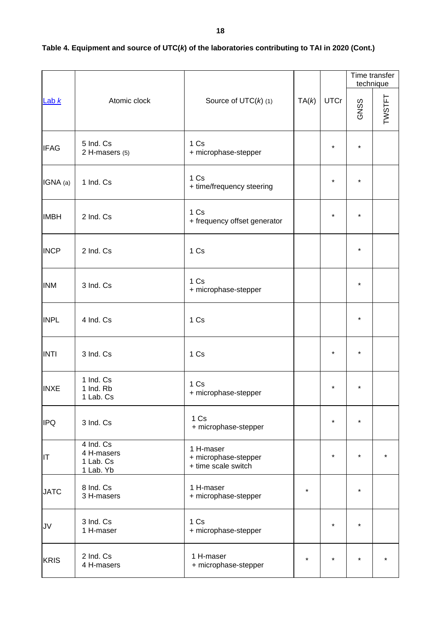|             |                                                   |                                                          |         |             |         | Time transfer<br>technique |
|-------------|---------------------------------------------------|----------------------------------------------------------|---------|-------------|---------|----------------------------|
| Lab $k$     | Atomic clock                                      | Source of $UTC(k)$ (1)                                   | TA(k)   | <b>UTCr</b> | GNSS    | TWSTFT                     |
| <b>IFAG</b> | 5 Ind. Cs<br>2 H-masers (5)                       | 1 Cs<br>+ microphase-stepper                             |         | $\star$     | $\star$ |                            |
| IGNA (a)    | 1 Ind. Cs                                         | 1 Cs<br>+ time/frequency steering                        |         | $\star$     | $\star$ |                            |
| <b>IMBH</b> | 2 Ind. Cs                                         | 1 Cs<br>+ frequency offset generator                     |         | $\star$     | $\star$ |                            |
| <b>INCP</b> | 2 Ind. Cs                                         | 1 Cs                                                     |         |             | $\star$ |                            |
| <b>INM</b>  | 3 Ind. Cs                                         | 1 Cs<br>+ microphase-stepper                             |         |             | $\star$ |                            |
| <b>INPL</b> | 4 Ind. Cs                                         | 1 Cs                                                     |         |             | $\star$ |                            |
| <b>INTI</b> | 3 Ind. Cs                                         | 1 Cs                                                     |         | $\star$     | *       |                            |
| <b>INXE</b> | 1 Ind. Cs<br>1 Ind. Rb<br>1 Lab. Cs               | 1 Cs<br>+ microphase-stepper                             |         | $\star$     | $\star$ |                            |
| <b>IPQ</b>  | 3 Ind. Cs                                         | 1 Cs<br>+ microphase-stepper                             |         | $\star$     | $\star$ |                            |
| IT          | 4 Ind. Cs<br>4 H-masers<br>1 Lab. Cs<br>1 Lab. Yb | 1 H-maser<br>+ microphase-stepper<br>+ time scale switch |         | $\star$     | $\star$ |                            |
| <b>JATC</b> | 8 Ind. Cs<br>3 H-masers                           | 1 H-maser<br>+ microphase-stepper                        | $\star$ |             | *       |                            |
| JV          | 3 Ind. Cs<br>1 H-maser                            | 1 Cs<br>+ microphase-stepper                             |         | $\star$     | $\star$ |                            |
| <b>KRIS</b> | 2 Ind. Cs<br>4 H-masers                           | 1 H-maser<br>+ microphase-stepper                        | $\star$ | $\star$     | $\star$ |                            |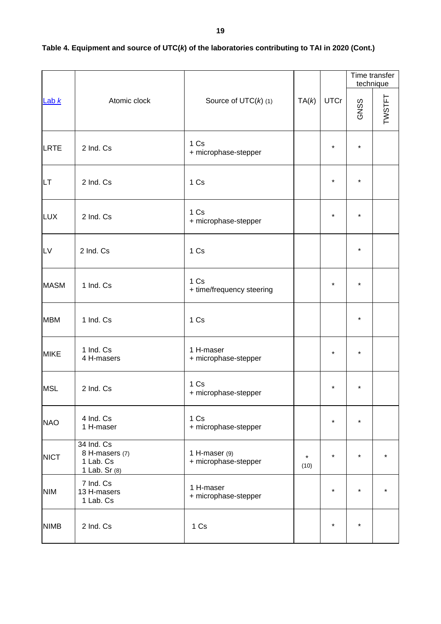|                         |                                                            |                                       |                 |             |         | Time transfer<br>technique |
|-------------------------|------------------------------------------------------------|---------------------------------------|-----------------|-------------|---------|----------------------------|
| Lab $k$                 | Atomic clock                                               | Source of $UTC(k)$ (1)                | TA(k)           | <b>UTCr</b> | GNSS    | TWSTFT                     |
| LRTE                    | 2 Ind. Cs                                                  | 1 Cs<br>+ microphase-stepper          |                 | $\star$     | $\star$ |                            |
| <b>LT</b>               | 2 Ind. Cs                                                  | 1 Cs                                  |                 | $\star$     | $\star$ |                            |
| <b>LUX</b><br>2 Ind. Cs |                                                            | 1 Cs<br>+ microphase-stepper          |                 | $\star$     | $\star$ |                            |
| LV                      | 2 Ind. Cs                                                  | 1 Cs                                  |                 |             | $\star$ |                            |
| <b>MASM</b>             | 1 Ind. Cs                                                  | 1 Cs<br>+ time/frequency steering     |                 | $\star$     | $\star$ |                            |
| <b>MBM</b>              | 1 Ind. Cs                                                  | 1 Cs                                  |                 |             | $\star$ |                            |
| <b>MIKE</b>             | 1 Ind. Cs<br>4 H-masers                                    | 1 H-maser<br>+ microphase-stepper     |                 | $\star$     | *       |                            |
| <b>MSL</b>              | 2 Ind. Cs                                                  | 1 Cs<br>+ microphase-stepper          |                 | $\star$     | $\star$ |                            |
| <b>NAO</b>              | 4 Ind. Cs<br>1 H-maser                                     | 1 Cs<br>+ microphase-stepper          |                 | $\star$     | $\star$ |                            |
| <b>NICT</b>             | 34 Ind. Cs<br>8 H-masers (7)<br>1 Lab. Cs<br>1 Lab. Sr (8) | 1 H-maser (9)<br>+ microphase-stepper | $\star$<br>(10) | $\star$     | $\star$ |                            |
| <b>NIM</b>              | 7 Ind. Cs<br>13 H-masers<br>1 Lab. Cs                      | 1 H-maser<br>+ microphase-stepper     |                 | $\star$     | $\star$ |                            |
| <b>NIMB</b>             | 2 Ind. Cs                                                  | 1 Cs                                  |                 | $\star$     | $\star$ |                            |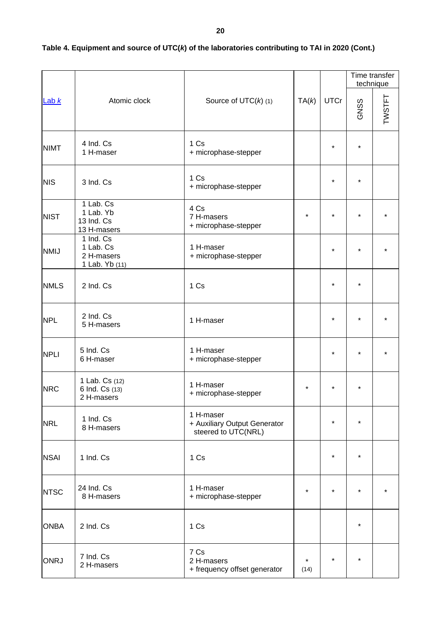|             |                                                        |                                                                  |                 |             |         | Time transfer<br>technique |
|-------------|--------------------------------------------------------|------------------------------------------------------------------|-----------------|-------------|---------|----------------------------|
| Lab $k$     | Atomic clock                                           | Source of $UTC(k)$ (1)                                           | TA(k)           | <b>UTCr</b> | GNSS    | TWSTFT                     |
| <b>NIMT</b> | 4 Ind. Cs<br>1 H-maser                                 | 1 Cs<br>+ microphase-stepper                                     |                 | $\star$     | $\star$ |                            |
| <b>NIS</b>  | 3 Ind. Cs                                              | 1 Cs<br>+ microphase-stepper                                     |                 | $\star$     | $\star$ |                            |
| <b>NIST</b> | 1 Lab. Cs<br>1 Lab. Yb<br>13 Ind. Cs<br>13 H-masers    | 4 Cs<br>7 H-masers<br>+ microphase-stepper                       | $\star$         | $\star$     | $\star$ |                            |
| <b>NMIJ</b> | 1 Ind. Cs<br>1 Lab. Cs<br>2 H-masers<br>1 Lab. Yb (11) | 1 H-maser<br>+ microphase-stepper                                |                 | $\star$     | $\star$ |                            |
| <b>NMLS</b> | 2 Ind. Cs                                              | 1 Cs                                                             |                 | $\star$     | $\star$ |                            |
| <b>NPL</b>  | 2 Ind. Cs<br>5 H-masers                                | 1 H-maser                                                        |                 | $\star$     | $\star$ |                            |
| <b>NPLI</b> | 5 Ind. Cs<br>6 H-maser                                 | 1 H-maser<br>+ microphase-stepper                                |                 | $\star$     | $\star$ |                            |
| <b>NRC</b>  | 1 Lab. Cs (12)<br>6 Ind. Cs (13)<br>2 H-masers         | 1 H-maser<br>+ microphase-stepper                                | $\star$         | $\star$     | $\star$ |                            |
| <b>NRL</b>  | 1 Ind. Cs<br>8 H-masers                                | 1 H-maser<br>+ Auxiliary Output Generator<br>steered to UTC(NRL) |                 | $\star$     | $\star$ |                            |
| <b>NSAI</b> | 1 Ind. Cs                                              | 1 Cs                                                             |                 | $\star$     | $\star$ |                            |
| <b>NTSC</b> | 24 Ind. Cs<br>8 H-masers                               | 1 H-maser<br>+ microphase-stepper                                | $\star$         | $\star$     | $\star$ |                            |
| <b>ONBA</b> | 2 Ind. Cs                                              | 1 Cs                                                             |                 |             | $\star$ |                            |
| <b>ONRJ</b> | 7 Ind. Cs<br>2 H-masers                                | 7 Cs<br>2 H-masers<br>+ frequency offset generator               | $\star$<br>(14) | $\star$     | $\star$ |                            |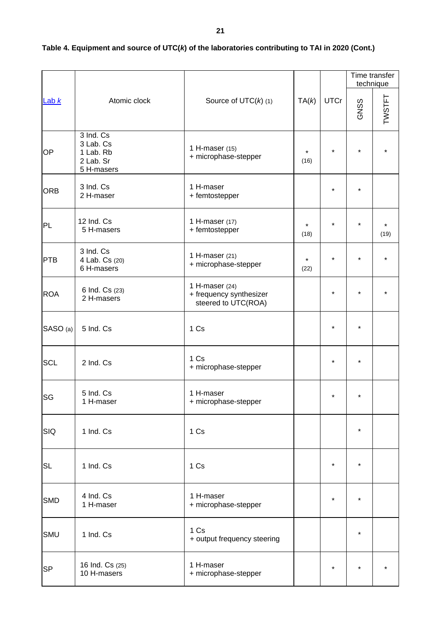|            |                                                                |                                                                    |                 |             |         | Time transfer<br>technique |
|------------|----------------------------------------------------------------|--------------------------------------------------------------------|-----------------|-------------|---------|----------------------------|
| Lab $k$    | Atomic clock                                                   | Source of $UTC(k)$ (1)                                             | TA(k)           | <b>UTCr</b> | GNSS    | TWSTFT                     |
| OP         | 3 Ind. Cs<br>3 Lab. Cs<br>1 Lab. Rb<br>2 Lab. Sr<br>5 H-masers | 1 H-maser (15)<br>+ microphase-stepper                             | $\star$<br>(16) | $\star$     | $\star$ |                            |
| <b>ORB</b> | 3 Ind. Cs<br>2 H-maser                                         | 1 H-maser<br>+ femtostepper                                        |                 | $\star$     | $\star$ |                            |
| PL         | 12 Ind. Cs<br>5 H-masers                                       | 1 H-maser (17)<br>+ femtostepper                                   | $\star$<br>(18) | $\star$     | $\star$ | $\star$<br>(19)            |
| PTB        | 3 Ind. Cs<br>4 Lab. Cs (20)<br>6 H-masers                      | 1 H-maser $(21)$<br>+ microphase-stepper                           | $\star$<br>(22) | $\star$     |         |                            |
| <b>ROA</b> | 6 Ind. Cs (23)<br>2 H-masers                                   | 1 H-maser $(24)$<br>+ frequency synthesizer<br>steered to UTC(ROA) |                 | $\star$     | $\star$ |                            |
| SASO (a)   | 5 Ind. Cs                                                      | 1 Cs                                                               |                 | $\star$     | $\star$ |                            |
| <b>SCL</b> | 2 Ind. Cs                                                      | 1 Cs<br>+ microphase-stepper                                       |                 | $\star$     | *       |                            |
| <b>SG</b>  | 5 Ind. Cs<br>1 H-maser                                         | 1 H-maser<br>+ microphase-stepper                                  |                 | $\star$     |         |                            |
| SIQ        | 1 Ind. Cs                                                      | 1 Cs                                                               |                 |             | $\star$ |                            |
| <b>SL</b>  | 1 Ind. Cs                                                      | 1 Cs                                                               |                 | $\star$     | $\star$ |                            |
| <b>SMD</b> | 4 Ind. Cs<br>1 H-maser                                         | 1 H-maser<br>+ microphase-stepper                                  |                 | $\star$     | $\star$ |                            |
| SMU        | 1 Ind. Cs                                                      | 1 Cs<br>+ output frequency steering                                |                 |             | $\star$ |                            |
| <b>SP</b>  | 16 Ind. Cs (25)<br>10 H-masers                                 | 1 H-maser<br>+ microphase-stepper                                  |                 | $\star$     | $\star$ |                            |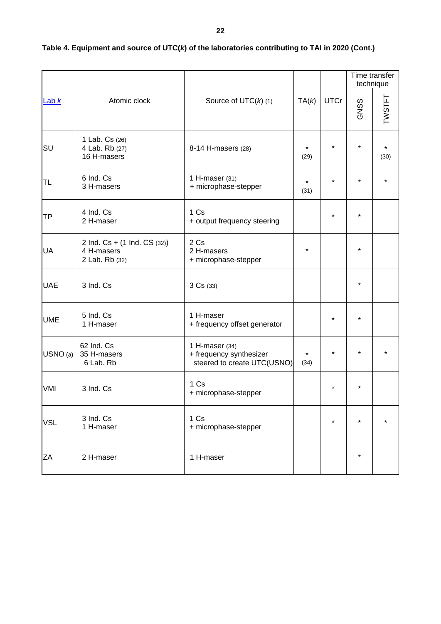|            | Atomic clock                                                 |                                                                          |                 | <b>UTCr</b> | Time transfer<br>technique |        |
|------------|--------------------------------------------------------------|--------------------------------------------------------------------------|-----------------|-------------|----------------------------|--------|
| Lab $k$    |                                                              | Source of $UTC(k)$ (1)                                                   | TA(k)           |             | GNSS                       | TWSTFT |
| SU         | 1 Lab. Cs (26)<br>4 Lab. Rb (27)<br>16 H-masers              | 8-14 H-masers (28)                                                       | $\star$<br>(29) | $\star$     | $\star$                    | (30)   |
| <b>TL</b>  | 6 Ind. Cs<br>3 H-masers                                      | 1 H-maser (31)<br>+ microphase-stepper                                   | $\star$<br>(31) | $\star$     | $\star$                    |        |
| TP         | 4 Ind. Cs<br>2 H-maser                                       | 1 Cs<br>+ output frequency steering                                      |                 | $\star$     |                            |        |
| <b>UA</b>  | 2 Ind. Cs + (1 Ind. CS (32))<br>4 H-masers<br>2 Lab. Rb (32) | 2 Cs<br>2 H-masers<br>+ microphase-stepper                               | $\star$         |             | $\star$                    |        |
| <b>UAE</b> | 3 Ind. Cs                                                    | 3 Cs (33)                                                                |                 |             | $\star$                    |        |
| <b>UME</b> | 5 Ind. Cs<br>1 H-maser                                       | 1 H-maser<br>+ frequency offset generator                                |                 | $\star$     |                            |        |
| USNO (a)   | 62 Ind. Cs<br>35 H-masers<br>6 Lab. Rb                       | 1 H-maser (34)<br>+ frequency synthesizer<br>steered to create UTC(USNO) | $\star$<br>(34) |             |                            |        |
| VMI        | 3 Ind. Cs                                                    | 1 Cs<br>+ microphase-stepper                                             |                 | $\star$     |                            |        |
| <b>VSL</b> | 3 Ind. Cs<br>1 H-maser                                       | 1 Cs<br>+ microphase-stepper                                             |                 | $\star$     | $^\star$                   |        |
| ZA         | 2 H-maser                                                    | 1 H-maser                                                                |                 |             | $\star$                    |        |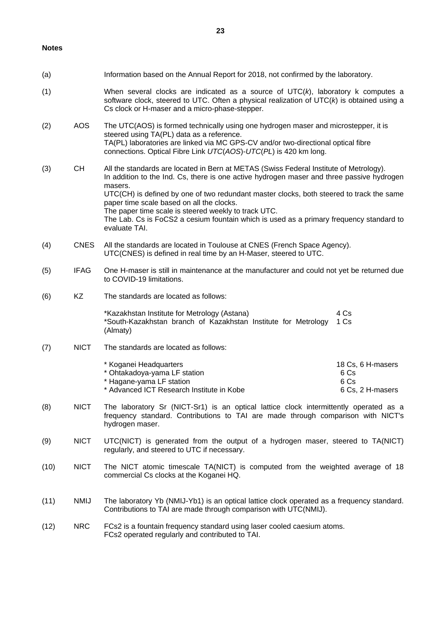#### **Notes**

| (a) |             | Information based on the Annual Report for 2018, not confirmed by the laboratory.                                                                                                                                                                                                                                                                                                                                                                                                                           |                                                       |
|-----|-------------|-------------------------------------------------------------------------------------------------------------------------------------------------------------------------------------------------------------------------------------------------------------------------------------------------------------------------------------------------------------------------------------------------------------------------------------------------------------------------------------------------------------|-------------------------------------------------------|
| (1) |             | When several clocks are indicated as a source of $UTC(k)$ , laboratory k computes a<br>software clock, steered to UTC. Often a physical realization of $UTC(k)$ is obtained using a<br>Cs clock or H-maser and a micro-phase-stepper.                                                                                                                                                                                                                                                                       |                                                       |
| (2) | <b>AOS</b>  | The UTC(AOS) is formed technically using one hydrogen maser and microstepper, it is<br>steered using TA(PL) data as a reference.<br>TA(PL) laboratories are linked via MC GPS-CV and/or two-directional optical fibre<br>connections. Optical Fibre Link UTC(AOS)-UTC(PL) is 420 km long.                                                                                                                                                                                                                   |                                                       |
| (3) | CH          | All the standards are located in Bern at METAS (Swiss Federal Institute of Metrology).<br>In addition to the Ind. Cs, there is one active hydrogen maser and three passive hydrogen<br>masers.<br>UTC(CH) is defined by one of two redundant master clocks, both steered to track the same<br>paper time scale based on all the clocks.<br>The paper time scale is steered weekly to track UTC.<br>The Lab. Cs is FoCS2 a cesium fountain which is used as a primary frequency standard to<br>evaluate TAI. |                                                       |
| (4) | <b>CNES</b> | All the standards are located in Toulouse at CNES (French Space Agency).<br>UTC(CNES) is defined in real time by an H-Maser, steered to UTC.                                                                                                                                                                                                                                                                                                                                                                |                                                       |
| (5) | <b>IFAG</b> | One H-maser is still in maintenance at the manufacturer and could not yet be returned due<br>to COVID-19 limitations.                                                                                                                                                                                                                                                                                                                                                                                       |                                                       |
| (6) | <b>KZ</b>   | The standards are located as follows:                                                                                                                                                                                                                                                                                                                                                                                                                                                                       |                                                       |
|     |             | *Kazakhstan Institute for Metrology (Astana)<br>*South-Kazakhstan branch of Kazakhstan Institute for Metrology<br>(Almaty)                                                                                                                                                                                                                                                                                                                                                                                  | 4 Cs<br>1 Cs                                          |
| (7) | <b>NICT</b> | The standards are located as follows:                                                                                                                                                                                                                                                                                                                                                                                                                                                                       |                                                       |
|     |             | * Koganei Headquarters<br>* Ohtakadoya-yama LF station<br>* Hagane-yama LF station<br>* Advanced ICT Research Institute in Kobe                                                                                                                                                                                                                                                                                                                                                                             | 18 Cs, 6 H-masers<br>6 Cs<br>6 Cs<br>6 Cs, 2 H-masers |
| (8) | <b>NICT</b> | The laboratory Sr (NICT-Sr1) is an optical lattice clock intermittently operated as a<br>frequency standard. Contributions to TAI are made through comparison with NICT's<br>hydrogen maser.                                                                                                                                                                                                                                                                                                                |                                                       |
| (9) | <b>NICT</b> | UTC(NICT) is generated from the output of a hydrogen maser, steered to TA(NICT)<br>regularly, and steered to UTC if necessary.                                                                                                                                                                                                                                                                                                                                                                              |                                                       |

- (10) NICT The NICT atomic timescale TA(NICT) is computed from the weighted average of 18 commercial Cs clocks at the Koganei HQ.
- (11) NMIJ The laboratory Yb (NMIJ-Yb1) is an optical lattice clock operated as a frequency standard. Contributions to TAI are made through comparison with UTC(NMIJ).
- (12) NRC FCs2 is a fountain frequency standard using laser cooled caesium atoms. FCs2 operated regularly and contributed to TAI.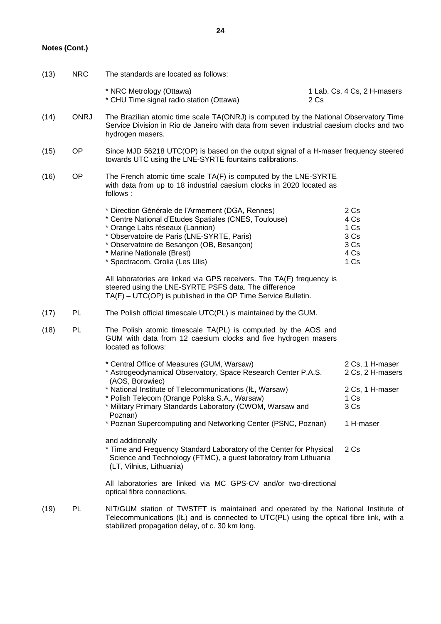### **Notes (Cont.)**

(13) NRC The standards are located as follows:

|      |             | * NRC Metrology (Ottawa)<br>* CHU Time signal radio station (Ottawa)                                                                                                                                                                                                                                     | 2 Cs | 1 Lab. Cs, 4 Cs, 2 H-masers                            |
|------|-------------|----------------------------------------------------------------------------------------------------------------------------------------------------------------------------------------------------------------------------------------------------------------------------------------------------------|------|--------------------------------------------------------|
| (14) | <b>ONRJ</b> | The Brazilian atomic time scale TA(ONRJ) is computed by the National Observatory Time<br>Service Division in Rio de Janeiro with data from seven industrial caesium clocks and two<br>hydrogen masers.                                                                                                   |      |                                                        |
| (15) | <b>OP</b>   | Since MJD 56218 UTC(OP) is based on the output signal of a H-maser frequency steered<br>towards UTC using the LNE-SYRTE fountains calibrations.                                                                                                                                                          |      |                                                        |
| (16) | <b>OP</b>   | The French atomic time scale TA(F) is computed by the LNE-SYRTE<br>with data from up to 18 industrial caesium clocks in 2020 located as<br>follows:                                                                                                                                                      |      |                                                        |
|      |             | * Direction Générale de l'Armement (DGA, Rennes)<br>* Centre National d'Etudes Spatiales (CNES, Toulouse)<br>* Orange Labs réseaux (Lannion)<br>* Observatoire de Paris (LNE-SYRTE, Paris)<br>* Observatoire de Besançon (OB, Besançon)<br>* Marine Nationale (Brest)<br>* Spectracom, Orolia (Les Ulis) |      | 2 Cs<br>4 Cs<br>1 Cs<br>3 Cs<br>3 Cs<br>4 Cs<br>1 Cs   |
|      |             | All laboratories are linked via GPS receivers. The TA(F) frequency is<br>steered using the LNE-SYRTE PSFS data. The difference<br>$TA(F) - UTC(OP)$ is published in the OP Time Service Bulletin.                                                                                                        |      |                                                        |
| (17) | PL          | The Polish official timescale UTC(PL) is maintained by the GUM.                                                                                                                                                                                                                                          |      |                                                        |
| (18) | PL          | The Polish atomic timescale TA(PL) is computed by the AOS and<br>GUM with data from 12 caesium clocks and five hydrogen masers<br>located as follows:                                                                                                                                                    |      |                                                        |
|      |             | * Central Office of Measures (GUM, Warsaw)<br>* Astrogeodynamical Observatory, Space Research Center P.A.S.<br>(AOS, Borowiec)<br>* National Institute of Telecommunications (IŁ, Warsaw)                                                                                                                |      | 2 Cs, 1 H-maser<br>2 Cs, 2 H-masers<br>2 Cs, 1 H-maser |
|      |             | * Polish Telecom (Orange Polska S.A., Warsaw)<br>* Military Primary Standards Laboratory (CWOM, Warsaw and                                                                                                                                                                                               |      | 1 Cs<br>3 Cs                                           |
|      |             | Poznan)<br>* Poznan Supercomputing and Networking Center (PSNC, Poznan)                                                                                                                                                                                                                                  |      | 1 H-maser                                              |
|      |             | and additionally<br>* Time and Frequency Standard Laboratory of the Center for Physical<br>Science and Technology (FTMC), a guest laboratory from Lithuania<br>(LT, Vilnius, Lithuania)                                                                                                                  |      | 2 Cs                                                   |
|      |             |                                                                                                                                                                                                                                                                                                          |      |                                                        |

All laboratories are linked via MC GPS-CV and/or two-directional optical fibre connections.

(19) PL NIT/GUM station of TWSTFT is maintained and operated by the National Institute of Telecommunications (IŁ) and is connected to UTC(PL) using the optical fibre link, with a stabilized propagation delay, of c. 30 km long.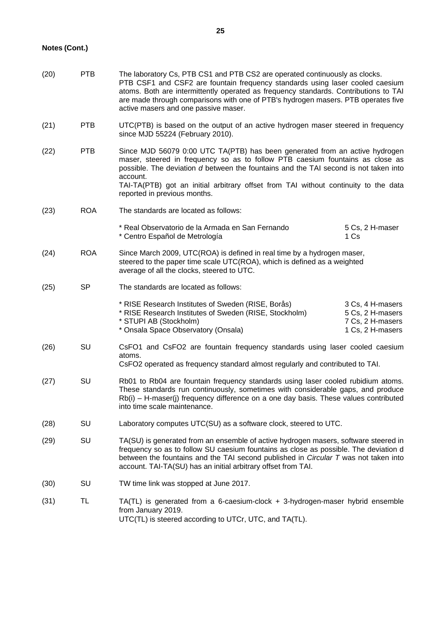# **Notes (Cont.)**

| (20) | <b>PTB</b> | The laboratory Cs, PTB CS1 and PTB CS2 are operated continuously as clocks.<br>PTB CSF1 and CSF2 are fountain frequency standards using laser cooled caesium<br>atoms. Both are intermittently operated as frequency standards. Contributions to TAI<br>are made through comparisons with one of PTB's hydrogen masers. PTB operates five<br>active masers and one passive maser.       |                                                                              |  |
|------|------------|-----------------------------------------------------------------------------------------------------------------------------------------------------------------------------------------------------------------------------------------------------------------------------------------------------------------------------------------------------------------------------------------|------------------------------------------------------------------------------|--|
| (21) | <b>PTB</b> | UTC(PTB) is based on the output of an active hydrogen maser steered in frequency<br>since MJD 55224 (February 2010).                                                                                                                                                                                                                                                                    |                                                                              |  |
| (22) | <b>PTB</b> | Since MJD 56079 0:00 UTC TA(PTB) has been generated from an active hydrogen<br>maser, steered in frequency so as to follow PTB caesium fountains as close as<br>possible. The deviation d between the fountains and the TAI second is not taken into<br>account.<br>TAI-TA(PTB) got an initial arbitrary offset from TAI without continuity to the data<br>reported in previous months. |                                                                              |  |
| (23) | <b>ROA</b> | The standards are located as follows:                                                                                                                                                                                                                                                                                                                                                   |                                                                              |  |
|      |            | * Real Observatorio de la Armada en San Fernando<br>* Centro Español de Metrología                                                                                                                                                                                                                                                                                                      | 5 Cs, 2 H-maser<br>1 Cs                                                      |  |
| (24) | <b>ROA</b> | Since March 2009, UTC(ROA) is defined in real time by a hydrogen maser,<br>steered to the paper time scale UTC(ROA), which is defined as a weighted<br>average of all the clocks, steered to UTC.                                                                                                                                                                                       |                                                                              |  |
| (25) | <b>SP</b>  | The standards are located as follows:                                                                                                                                                                                                                                                                                                                                                   |                                                                              |  |
|      |            | * RISE Research Institutes of Sweden (RISE, Borås)<br>* RISE Research Institutes of Sweden (RISE, Stockholm)<br>* STUPI AB (Stockholm)<br>* Onsala Space Observatory (Onsala)                                                                                                                                                                                                           | 3 Cs, 4 H-masers<br>5 Cs, 2 H-masers<br>7 Cs, 2 H-masers<br>1 Cs, 2 H-masers |  |
| (26) | SU         | CsFO1 and CsFO2 are fountain frequency standards using laser cooled caesium<br>atoms.<br>CsFO2 operated as frequency standard almost regularly and contributed to TAI.                                                                                                                                                                                                                  |                                                                              |  |
| (27) | SU         | Rb01 to Rb04 are fountain frequency standards using laser cooled rubidium atoms.<br>These standards run continuously, sometimes with considerable gaps, and produce<br>$Rb(i)$ – H-maser(j) frequency difference on a one day basis. These values contributed<br>into time scale maintenance.                                                                                           |                                                                              |  |
| (28) | SU         | Laboratory computes UTC(SU) as a software clock, steered to UTC.                                                                                                                                                                                                                                                                                                                        |                                                                              |  |
| (29) | SU         | TA(SU) is generated from an ensemble of active hydrogen masers, software steered in<br>frequency so as to follow SU caesium fountains as close as possible. The deviation d<br>between the fountains and the TAI second published in <i>Circular T</i> was not taken into<br>account. TAI-TA(SU) has an initial arbitrary offset from TAI.                                              |                                                                              |  |
| (30) | SU         | TW time link was stopped at June 2017.                                                                                                                                                                                                                                                                                                                                                  |                                                                              |  |
| (31) | TL         | TA(TL) is generated from a 6-caesium-clock + 3-hydrogen-maser hybrid ensemble<br>from January 2019.<br>UTC(TL) is steered according to UTCr, UTC, and TA(TL).                                                                                                                                                                                                                           |                                                                              |  |